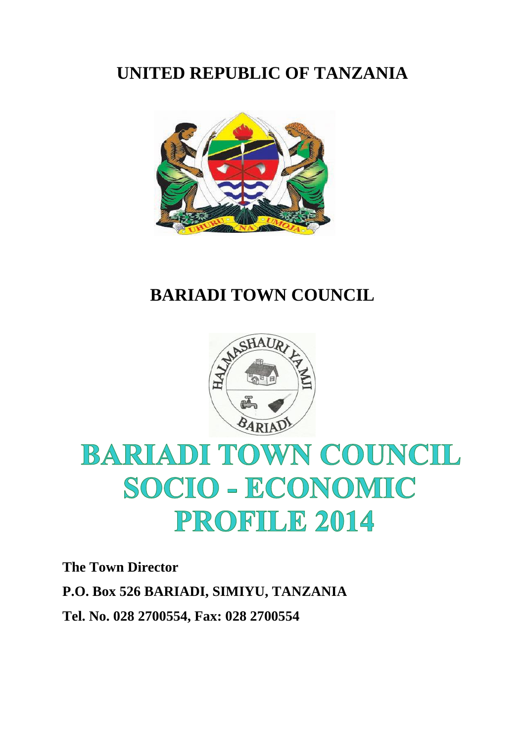## **UNITED REPUBLIC OF TANZANIA**



### **BARIADI TOWN COUNCIL**



# **BARIADI TOWN COUNCIL** SOCIO - ECONOMIC PROFILE 2014

**The Town Director P.O. Box 526 BARIADI, SIMIYU, TANZANIA Tel. No. 028 2700554, Fax: 028 2700554**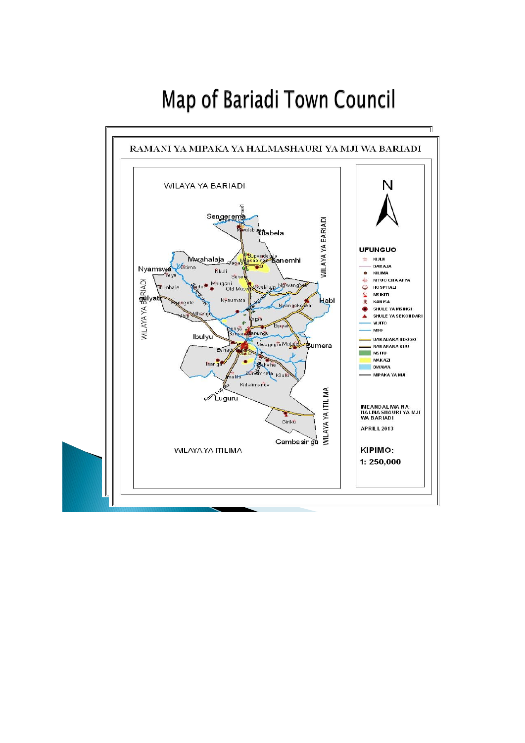## Map of Bariadi Town Council

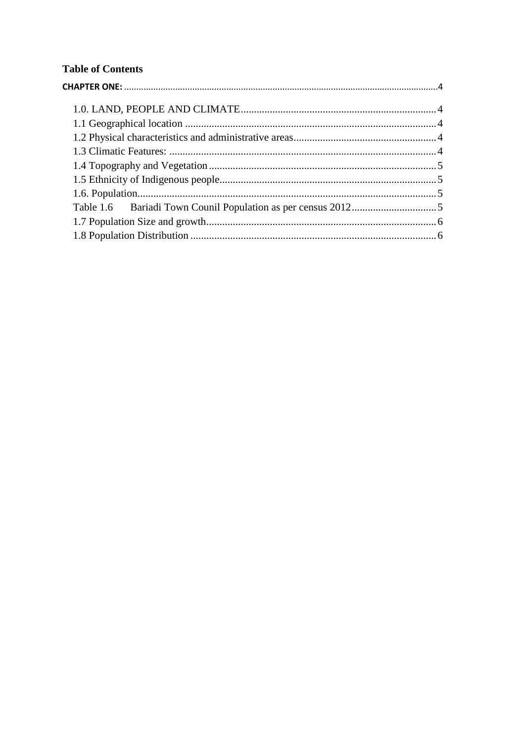#### **Table of Contents**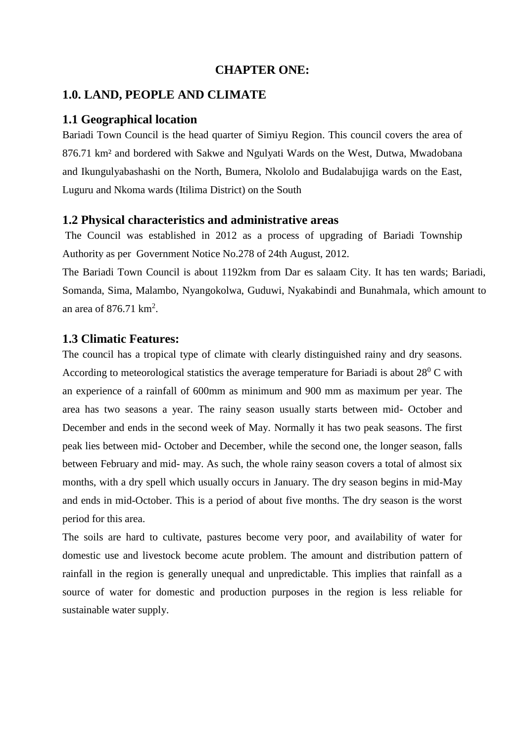#### **CHAPTER ONE:**

#### <span id="page-3-1"></span><span id="page-3-0"></span>**1.0. LAND, PEOPLE AND CLIMATE**

#### <span id="page-3-2"></span>**1.1 Geographical location**

Bariadi Town Council is the head quarter of Simiyu Region. This council covers the area of 876.71 km² and bordered with Sakwe and Ngulyati Wards on the West, Dutwa, Mwadobana and Ikungulyabashashi on the North, Bumera, Nkololo and Budalabujiga wards on the East, Luguru and Nkoma wards (Itilima District) on the South

#### <span id="page-3-3"></span>**1.2 Physical characteristics and administrative areas**

The Council was established in 2012 as a process of upgrading of Bariadi Township Authority as per Government Notice No.278 of 24th August, 2012.

The Bariadi Town Council is about 1192km from Dar es salaam City. It has ten wards; Bariadi, Somanda, Sima, Malambo, Nyangokolwa, Guduwi, Nyakabindi and Bunahmala, which amount to an area of  $876.71 \text{ km}^2$ .

#### <span id="page-3-4"></span>**1.3 Climatic Features:**

The council has a tropical type of climate with clearly distinguished rainy and dry seasons. According to meteorological statistics the average temperature for Bariadi is about  $28^{\circ}$  C with an experience of a rainfall of 600mm as minimum and 900 mm as maximum per year. The area has two seasons a year. The rainy season usually starts between mid- October and December and ends in the second week of May. Normally it has two peak seasons. The first peak lies between mid- October and December, while the second one, the longer season, falls between February and mid- may. As such, the whole rainy season covers a total of almost six months, with a dry spell which usually occurs in January. The dry season begins in mid-May and ends in mid-October. This is a period of about five months. The dry season is the worst period for this area.

The soils are hard to cultivate, pastures become very poor, and availability of water for domestic use and livestock become acute problem. The amount and distribution pattern of rainfall in the region is generally unequal and unpredictable. This implies that rainfall as a source of water for domestic and production purposes in the region is less reliable for sustainable water supply.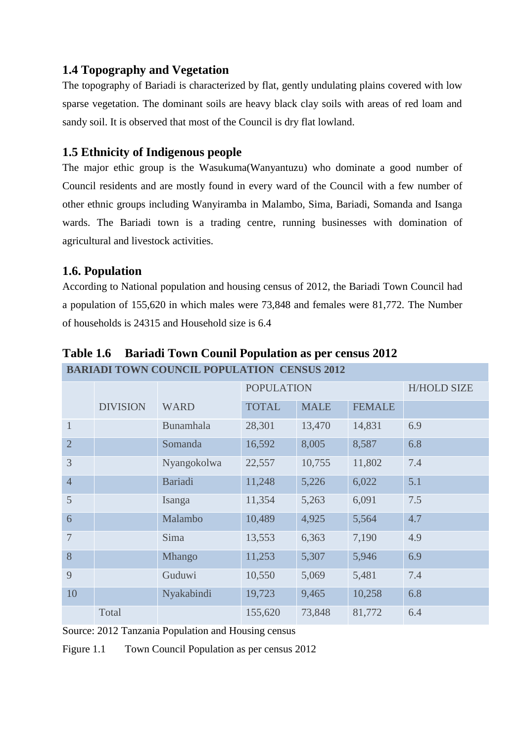#### <span id="page-4-0"></span>**1.4 Topography and Vegetation**

The topography of Bariadi is characterized by flat, gently undulating plains covered with low sparse vegetation. The dominant soils are heavy black clay soils with areas of red loam and sandy soil. It is observed that most of the Council is dry flat lowland.

#### <span id="page-4-1"></span>**1.5 Ethnicity of Indigenous people**

The major ethic group is the Wasukuma(Wanyantuzu) who dominate a good number of Council residents and are mostly found in every ward of the Council with a few number of other ethnic groups including Wanyiramba in Malambo, Sima, Bariadi, Somanda and Isanga wards. The Bariadi town is a trading centre, running businesses with domination of agricultural and livestock activities.

#### <span id="page-4-2"></span>**1.6. Population**

According to National population and housing census of 2012, the Bariadi Town Council had a population of 155,620 in which males were 73,848 and females were 81,772. The Number of households is 24315 and Household size is 6.4

|                |                 |                | <b>POPULATION</b> |             |               | <b>H/HOLD SIZE</b> |
|----------------|-----------------|----------------|-------------------|-------------|---------------|--------------------|
|                | <b>DIVISION</b> | <b>WARD</b>    | <b>TOTAL</b>      | <b>MALE</b> | <b>FEMALE</b> |                    |
| $\mathbf{1}$   |                 | Bunamhala      | 28,301            | 13,470      | 14,831        | 6.9                |
| $\overline{2}$ |                 | Somanda        | 16,592            | 8,005       | 8,587         | 6.8                |
| 3              |                 | Nyangokolwa    | 22,557            | 10,755      | 11,802        | 7.4                |
| $\overline{4}$ |                 | <b>Bariadi</b> | 11,248            | 5,226       | 6,022         | 5.1                |
| 5              |                 | Isanga         | 11,354            | 5,263       | 6,091         | 7.5                |
| 6              |                 | Malambo        | 10,489            | 4,925       | 5,564         | 4.7                |
| $\overline{7}$ |                 | Sima           | 13,553            | 6,363       | 7,190         | 4.9                |
| 8              |                 | Mhango         | 11,253            | 5,307       | 5,946         | 6.9                |
| 9              |                 | Guduwi         | 10,550            | 5,069       | 5,481         | 7.4                |
| 10             |                 | Nyakabindi     | 19,723            | 9,465       | 10,258        | 6.8                |
|                | Total           |                | 155,620           | 73,848      | 81,772        | 6.4                |

<span id="page-4-3"></span>**Table 1.6 Bariadi Town Counil Population as per census 2012 BARIADI TOWN COUNCIL POPULATION CENSUS 2012**

Source: 2012 Tanzania Population and Housing census

Figure 1.1 Town Council Population as per census 2012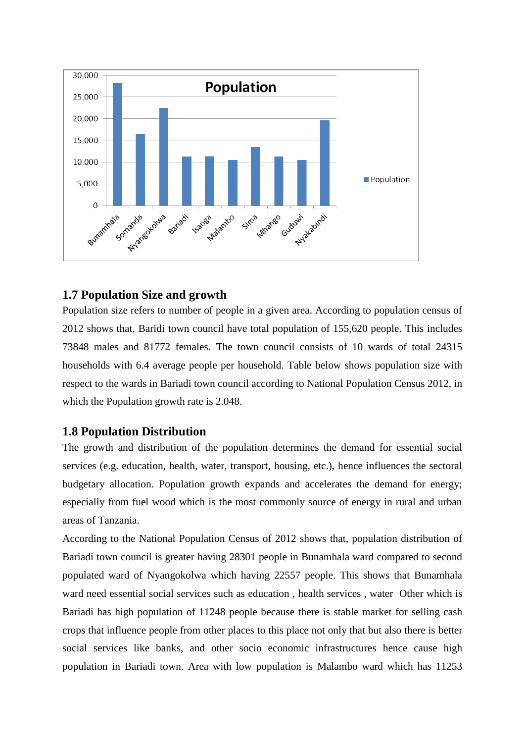

#### <span id="page-5-0"></span>**1.7 Population Size and growth**

Population size refers to number of people in a given area. According to population census of 2012 shows that, Baridi town council have total population of 155,620 people. This includes 73848 males and 81772 females. The town council consists of 10 wards of total 24315 households with 6.4 average people per household. Table below shows population size with respect to the wards in Bariadi town council according to National Population Census 2012, in which the Population growth rate is 2.048.

#### <span id="page-5-1"></span>**1.8 Population Distribution**

The growth and distribution of the population determines the demand for essential social services (e.g. education, health, water, transport, housing, etc.), hence influences the sectoral budgetary allocation. Population growth expands and accelerates the demand for energy; especially from fuel wood which is the most commonly source of energy in rural and urban areas of Tanzania.

According to the National Population Census of 2012 shows that, population distribution of Bariadi town council is greater having 28301 people in Bunamhala ward compared to second populated ward of Nyangokolwa which having 22557 people. This shows that Bunamhala ward need essential social services such as education , health services , water Other which is Bariadi has high population of 11248 people because there is stable market for selling cash crops that influence people from other places to this place not only that but also there is better social services like banks, and other socio economic infrastructures hence cause high population in Bariadi town. Area with low population is Malambo ward which has 11253